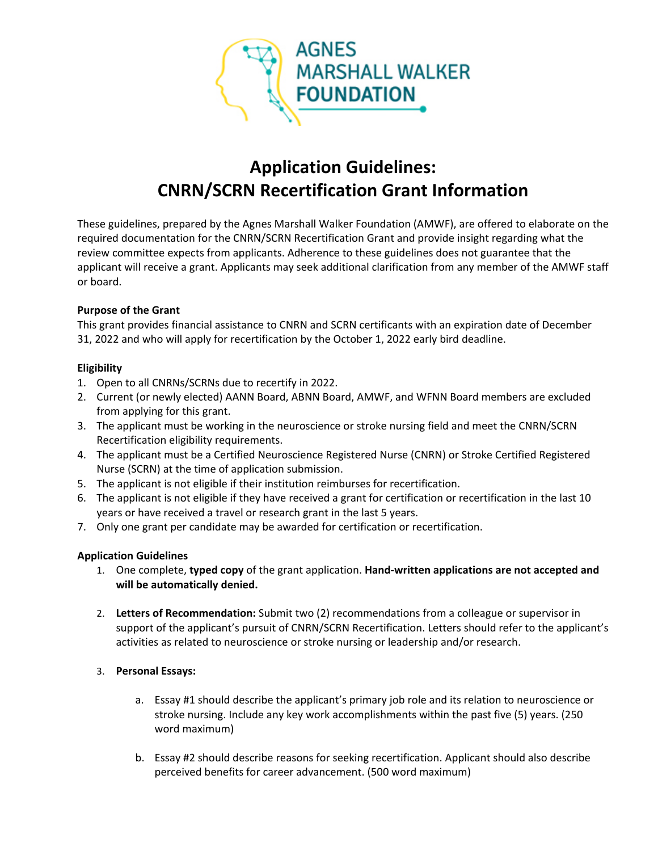

# **Application Guidelines: CNRN/SCRN Recertification Grant Information**

These guidelines, prepared by the Agnes Marshall Walker Foundation (AMWF), are offered to elaborate on the required documentation for the CNRN/SCRN Recertification Grant and provide insight regarding what the review committee expects from applicants. Adherence to these guidelines does not guarantee that the applicant will receive a grant. Applicants may seek additional clarification from any member of the AMWF staff or board.

#### **Purpose of the Grant**

This grant provides financial assistance to CNRN and SCRN certificants with an expiration date of December 31, 2022 and who will apply for recertification by the October 1, 2022 early bird deadline.

#### **Eligibility**

- 1. Open to all CNRNs/SCRNs due to recertify in 2022.
- 2. Current (or newly elected) AANN Board, ABNN Board, AMWF, and WFNN Board members are excluded from applying for this grant.
- 3. The applicant must be working in the neuroscience or stroke nursing field and meet the CNRN/SCRN Recertification eligibility requirements.
- 4. The applicant must be a Certified Neuroscience Registered Nurse (CNRN) or Stroke Certified Registered Nurse (SCRN) at the time of application submission.
- 5. The applicant is not eligible if their institution reimburses for recertification.
- 6. The applicant is not eligible if they have received a grant for certification or recertification in the last 10 years or have received a travel or research grant in the last 5 years.
- 7. Only one grant per candidate may be awarded for certification or recertification.

#### **Application Guidelines**

- 1. One complete, **typed copy** of the grant application. **Hand-written applications are not accepted and will be automatically denied.**
- 2. **Letters of Recommendation:** Submit two (2) recommendations from a colleague or supervisor in support of the applicant's pursuit of CNRN/SCRN Recertification. Letters should refer to the applicant's activities as related to neuroscience or stroke nursing or leadership and/or research.

#### 3. **Personal Essays:**

- a. Essay #1 should describe the applicant's primary job role and its relation to neuroscience or stroke nursing. Include any key work accomplishments within the past five (5) years. (250 word maximum)
- b. Essay #2 should describe reasons for seeking recertification. Applicant should also describe perceived benefits for career advancement. (500 word maximum)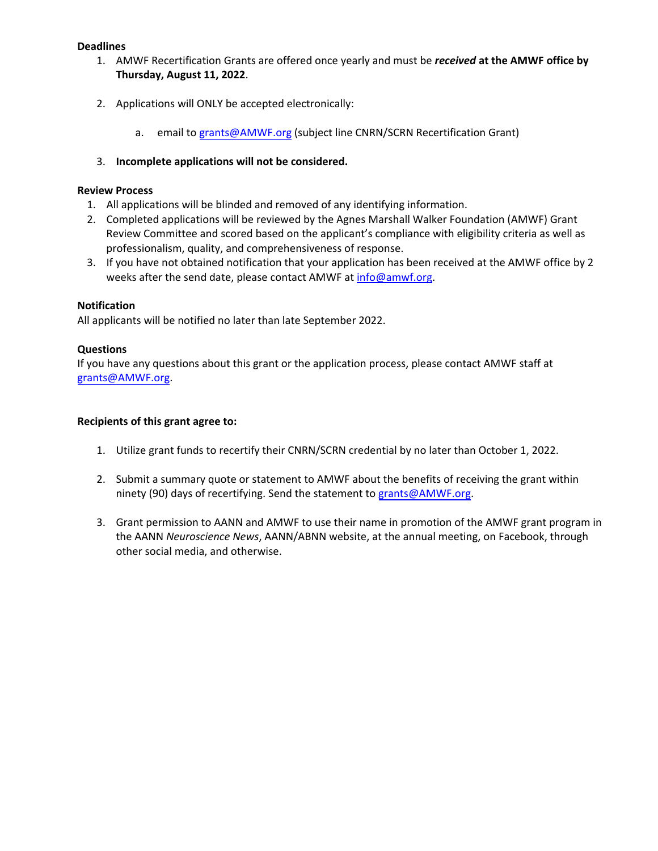#### **Deadlines**

- 1. AMWF Recertification Grants are offered once yearly and must be *received* **at the AMWF office by Thursday, August 11, 2022**.
- 2. Applications will ONLY be accepted electronically:
	- a. email to [grants@AMWF.org](mailto:grants@AMWF.org) (subject line CNRN/SCRN Recertification Grant)
- 3. **Incomplete applications will not be considered.**

#### **Review Process**

- 1. All applications will be blinded and removed of any identifying information.
- 2. Completed applications will be reviewed by the Agnes Marshall Walker Foundation (AMWF) Grant Review Committee and scored based on the applicant's compliance with eligibility criteria as well as professionalism, quality, and comprehensiveness of response.
- 3. If you have not obtained notification that your application has been received at the AMWF office by 2 weeks after the send date, please contact AMWF at [info@amwf.org.](mailto:info@amwf.org)

#### **Notification**

All applicants will be notified no later than late September 2022.

#### **Questions**

If you have any questions about this grant or the application process, please contact AMWF staff at [grants@AMWF.org.](mailto:grants@AMWF.org)

#### **Recipients of this grant agree to:**

- 1. Utilize grant funds to recertify their CNRN/SCRN credential by no later than October 1, 2022.
- 2. Submit a summary quote or statement to AMWF about the benefits of receiving the grant within ninety (90) days of recertifying. Send the statement to [grants@AMWF.org.](mailto:grants@AMWF.org)
- 3. Grant permission to AANN and AMWF to use their name in promotion of the AMWF grant program in the AANN *Neuroscience News*, AANN/ABNN website, at the annual meeting, on Facebook, through other social media, and otherwise.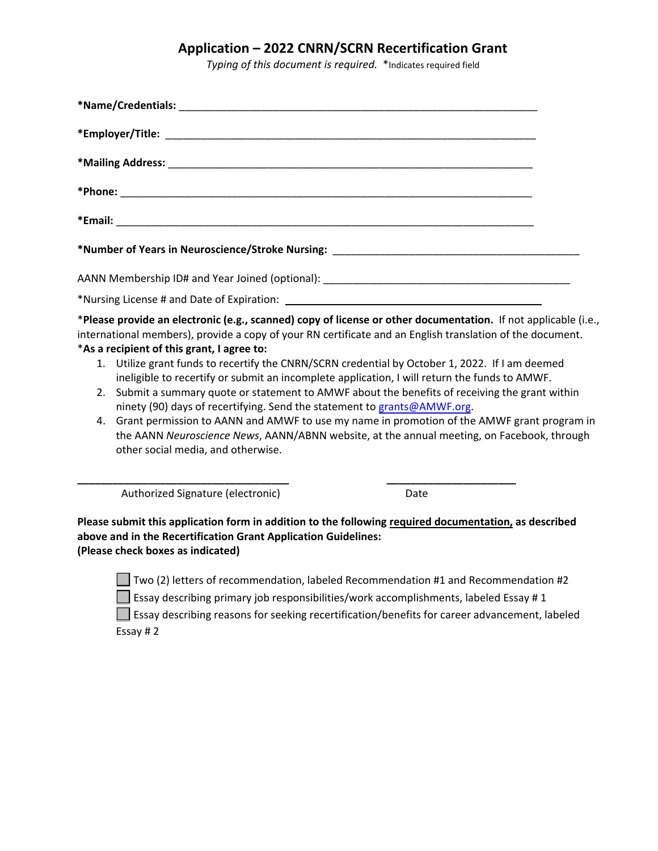### **Application – 2022 CNRN/SCRN Recertification Grant**

*Typing of this document is required.* \*Indicates required field

| 2.<br>4. | *As a recipient of this grant, I agree to:<br>ninety (90) days of recertifying. Send the statement to grants@AMWF.org.<br>other social media, and otherwise. | *Please provide an electronic (e.g., scanned) copy of license or other documentation. If not applicable (i.e.,<br>international members), provide a copy of your RN certificate and an English translation of the document.<br>1. Utilize grant funds to recertify the CNRN/SCRN credential by October 1, 2022. If I am deemed<br>ineligible to recertify or submit an incomplete application, I will return the funds to AMWF.<br>Submit a summary quote or statement to AMWF about the benefits of receiving the grant within<br>Grant permission to AANN and AMWF to use my name in promotion of the AMWF grant program in<br>the AANN Neuroscience News, AANN/ABNN website, at the annual meeting, on Facebook, through |  |
|----------|--------------------------------------------------------------------------------------------------------------------------------------------------------------|-----------------------------------------------------------------------------------------------------------------------------------------------------------------------------------------------------------------------------------------------------------------------------------------------------------------------------------------------------------------------------------------------------------------------------------------------------------------------------------------------------------------------------------------------------------------------------------------------------------------------------------------------------------------------------------------------------------------------------|--|
|          | Authorized Signature (electronic)                                                                                                                            | Date                                                                                                                                                                                                                                                                                                                                                                                                                                                                                                                                                                                                                                                                                                                        |  |
|          | above and in the Recertification Grant Application Guidelines:<br>(Please check boxes as indicated)                                                          | Please submit this application form in addition to the following required documentation, as described                                                                                                                                                                                                                                                                                                                                                                                                                                                                                                                                                                                                                       |  |
|          |                                                                                                                                                              | Two (2) letters of recommendation, labeled Recommendation #1 and Recommendation #2                                                                                                                                                                                                                                                                                                                                                                                                                                                                                                                                                                                                                                          |  |

**Essay describing primary job responsibilities/work accomplishments, labeled Essay #1** 

Essay describing reasons for seeking recertification/benefits for career advancement, labeled Essay # 2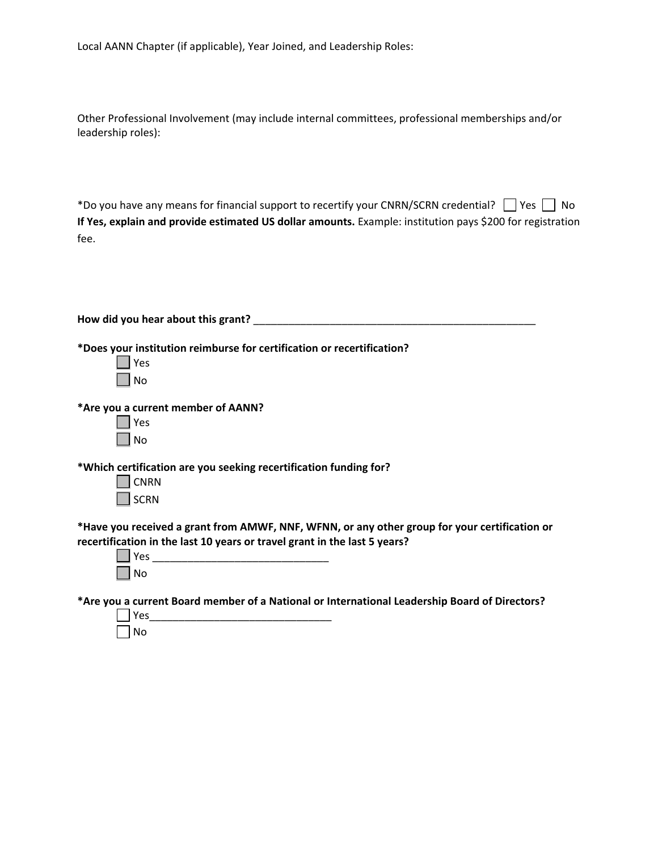Local AANN Chapter (if applicable), Year Joined, and Leadership Roles:

Other Professional Involvement (may include internal committees, professional memberships and/or leadership roles):

\*Do you have any means for financial support to recertify your CNRN/SCRN credential?  $\Box$  Yes  $\Box$  No **If Yes, explain and provide estimated US dollar amounts.** Example: institution pays \$200 for registration fee.

| How did you hear about this grant?                                                                                                                                                                                            |
|-------------------------------------------------------------------------------------------------------------------------------------------------------------------------------------------------------------------------------|
| *Does your institution reimburse for certification or recertification?<br>Yes<br>No                                                                                                                                           |
| *Are you a current member of AANN?                                                                                                                                                                                            |
| Yes                                                                                                                                                                                                                           |
| No                                                                                                                                                                                                                            |
| *Which certification are you seeking recertification funding for?<br><b>CNRN</b><br><b>SCRN</b>                                                                                                                               |
| *Have you received a grant from AMWF, NNF, WFNN, or any other group for your certification or                                                                                                                                 |
| recertification in the last 10 years or travel grant in the last 5 years?<br>No                                                                                                                                               |
| . The state of the state of the state of the state of the state of the state of the state of the state of the state of the state of the state of the state of the state of the state of the state of the state of the state o |

**\*Are you a current Board member of a National or International Leadership Board of Directors?**

|                      | l Yes |  |  |  |  |
|----------------------|-------|--|--|--|--|
| $\sim$ $\sim$ $\sim$ | No    |  |  |  |  |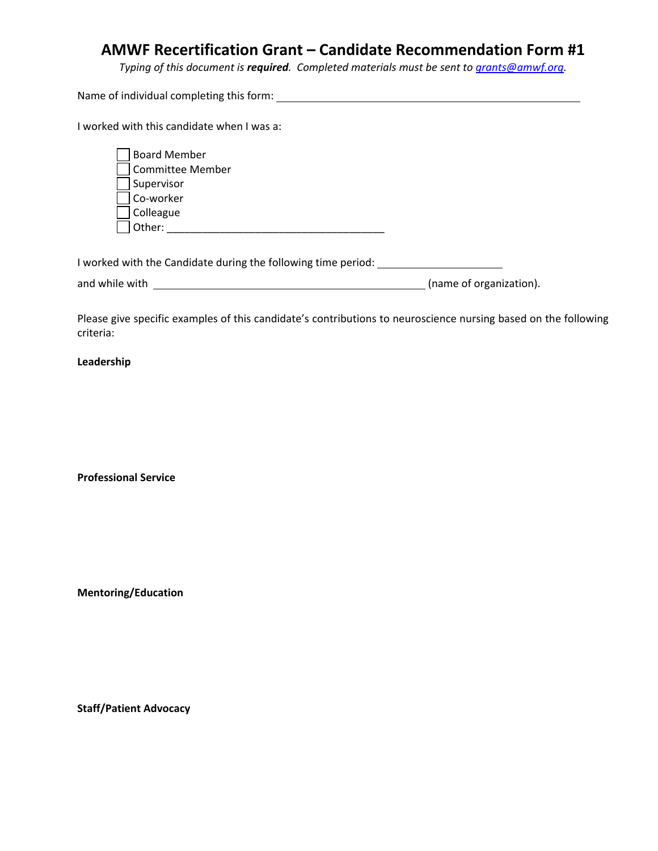### **AMWF Recertification Grant – Candidate Recommendation Form #1**

*Typing of this document is required. Completed materials must be sent to [grants@amwf.org.](mailto:grants@amwf.org)* 

Name of individual completing this form:

I worked with this candidate when I was a:

| <b>Board Member</b> |
|---------------------|
| Committee Member    |
| Supervisor          |
| Co-worker           |
| Colleague           |
| Other:              |

I worked with the Candidate during the following time period:

and while with (name of organization).

Please give specific examples of this candidate's contributions to neuroscience nursing based on the following criteria:

#### **Leadership**

**Professional Service**

**Mentoring/Education**

**Staff/Patient Advocacy**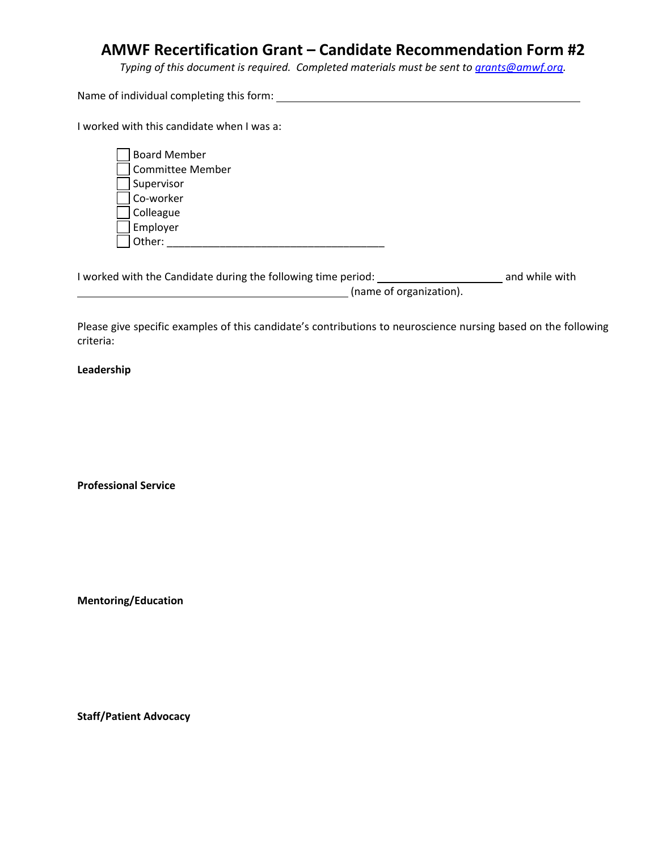### **AMWF Recertification Grant – Candidate Recommendation Form #2**

*Typing of this document is required. Completed materials must be sent to [grants@amwf.org.](mailto:grants@amwf.org)* 

Name of individual completing this form:

I worked with this candidate when I was a:

| <b>Board Member</b>     |
|-------------------------|
| <b>Committee Member</b> |
| Supervisor              |
| Co-worker               |
| Colleague               |
| Employer                |
| Ther:                   |

I worked with the Candidate during the following time period: and while with (name of organization).

Please give specific examples of this candidate's contributions to neuroscience nursing based on the following criteria:

#### **Leadership**

**Professional Service**

**Mentoring/Education**

**Staff/Patient Advocacy**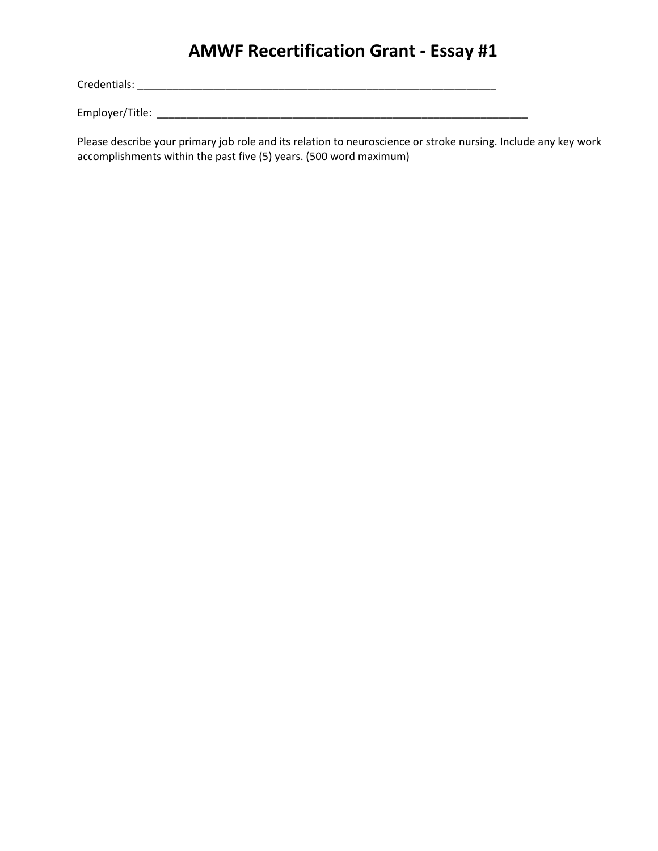## **AMWF Recertification Grant - Essay #1**

Credentials: \_\_\_\_\_\_\_\_\_\_\_\_\_\_\_\_\_\_\_\_\_\_\_\_\_\_\_\_\_\_\_\_\_\_\_\_\_\_\_\_\_\_\_\_\_\_\_\_\_\_\_\_\_\_\_\_\_\_\_\_\_

Employer/Title: \_\_\_\_\_\_\_\_\_\_\_\_\_\_\_\_\_\_\_\_\_\_\_\_\_\_\_\_\_\_\_\_\_\_\_\_\_\_\_\_\_\_\_\_\_\_\_\_\_\_\_\_\_\_\_\_\_\_\_\_\_\_\_

Please describe your primary job role and its relation to neuroscience or stroke nursing. Include any key work accomplishments within the past five (5) years. (500 word maximum)